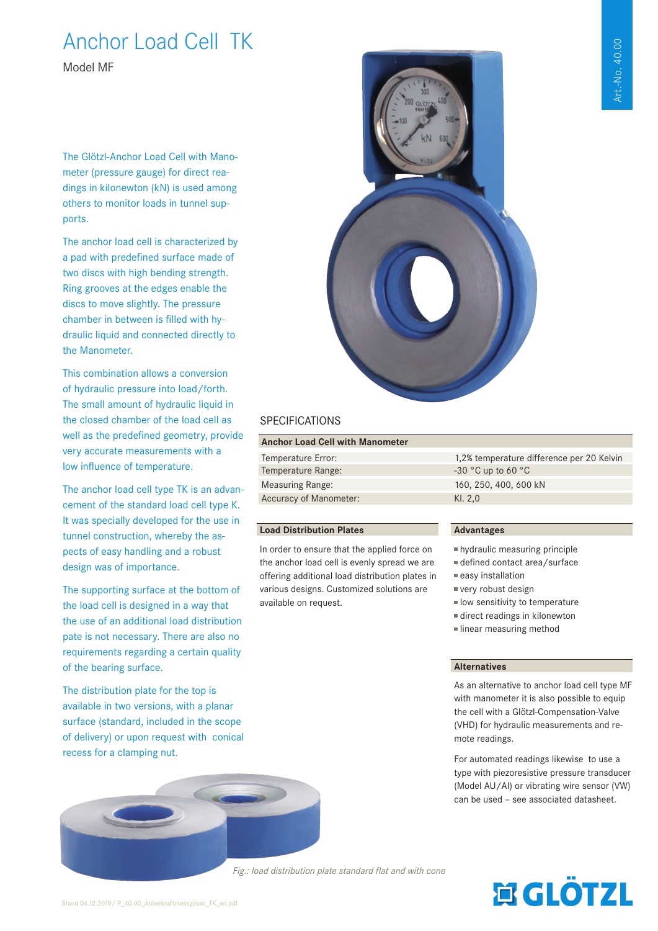# Art.-No. 40.00 Art.-No. 40.00

# Anchor Load Cell TK

Model MF

The Glötzl-Anchor Load Cell with Manometer (pressure gauge) for direct readings in kilonewton (kN) is used among others to monitor loads in tunnel supports.

The anchor load cell is characterized by a pad with predefined surface made of two discs with high bending strength. Ring grooves at the edges enable the discs to move slightly. The pressure chamber in between is filled with hydraulic liquid and connected directly to the Manometer.

This combination allows a conversion of hydraulic pressure into load/forth. The small amount of hydraulic liquid in the closed chamber of the load cell as well as the predefined geometry, provide very accurate measurements with a low influence of temperature.

The anchor load cell type TK is an advancement of the standard load cell type K. It was specially developed for the use in tunnel construction, whereby the aspects of easy handling and a robust design was of importance.

The supporting surface at the bottom of the load cell is designed in a way that the use of an additional load distribution pate is not necessary. There are also no requirements regarding a certain quality of the bearing surface.

The distribution plate for the top is available in two versions, with a planar surface (standard, included in the scope of delivery) or upon request with conical recess for a clamping nut.





### **SPECIFICATIONS**

#### **Anchor Load Cell with Manometer**

| Temperature Error:            | 1,2% temperature difference per 20 Kelvin |
|-------------------------------|-------------------------------------------|
| Temperature Range:            | $-30$ °C up to 60 °C                      |
| <b>Measuring Range:</b>       | 160, 250, 400, 600 kN                     |
| <b>Accuracy of Manometer:</b> | KI. $2.0$                                 |
|                               |                                           |

#### **Load Distribution Plates**

In order to ensure that the applied force on the anchor load cell is evenly spread we are offering additional load distribution plates in various designs. Customized solutions are available on request.

#### **Advantages**

- hydraulic measuring principle
- defined contact area/surface
- easy installation
- very robust design
- **IDO IDO INTERTATION** to temperature
- direct readings in kilonewton
- **Inear measuring method**

#### **Alternatives**

As an alternative to anchor load cell type MF with manometer it is also possible to equip the cell with a Glötzl-Compensation-Valve (VHD) for hydraulic measurements and remote readings.

For automated readings likewise to use a type with piezoresistive pressure transducer (Model AU/AI) or vibrating wire sensor (VW) can be used – see associated datasheet.

*Fig.: load distribution plate standard flat and with cone* 

# **寓GLÖTZL**